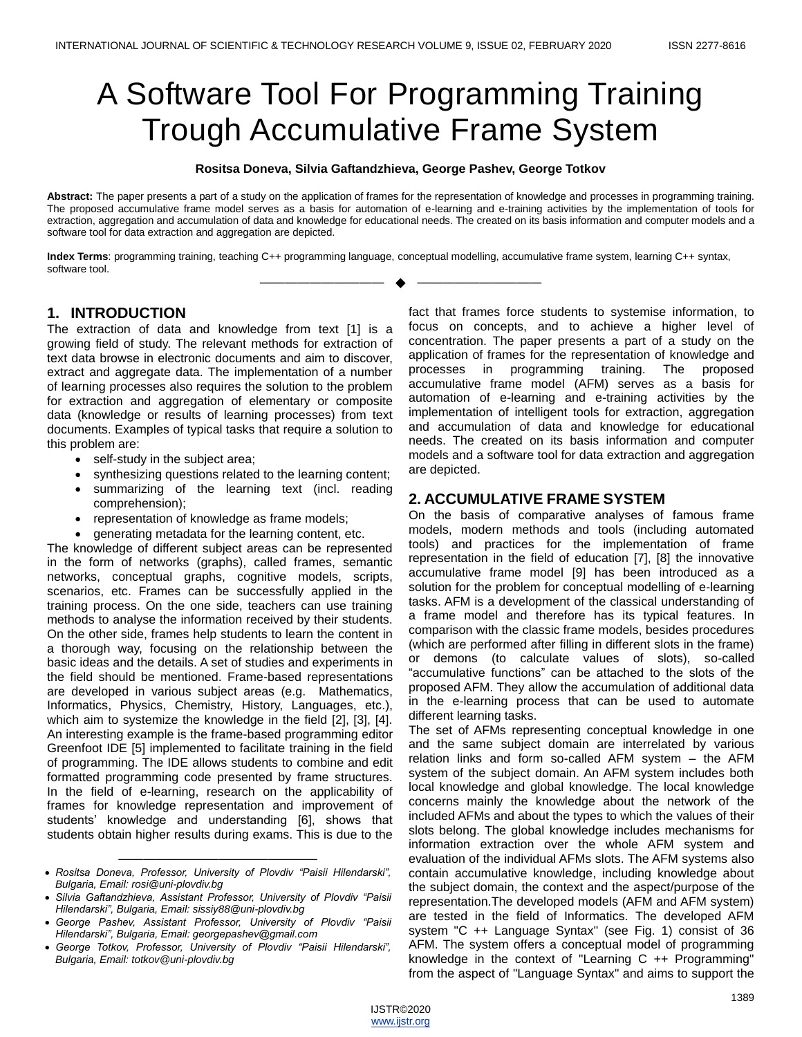# A Software Tool For Programming Training Trough Accumulative Frame System

#### **Rositsa Doneva, Silvia Gaftandzhieva, George Pashev, George Totkov**

**Abstract:** The paper presents a part of a study on the application of frames for the representation of knowledge and processes in programming training. The proposed accumulative frame model serves as a basis for automation of e-learning and e-training activities by the implementation of tools for extraction, aggregation and accumulation of data and knowledge for educational needs. The created on its basis information and computer models and a software tool for data extraction and aggregation are depicted.

**Index Terms**: programming training, teaching C++ programming language, conceptual modelling, accumulative frame system, learning C++ syntax, software tool.

—————————— ——————————

# **1. INTRODUCTION**

The extraction of data and knowledge from text [1] is a growing field of study. The relevant methods for extraction of text data browse in electronic documents and aim to discover, extract and aggregate data. The implementation of a number of learning processes also requires the solution to the problem for extraction and aggregation of elementary or composite data (knowledge or results of learning processes) from text documents. Examples of typical tasks that require a solution to this problem are:

- self-study in the subject area;
- synthesizing questions related to the learning content;
- summarizing of the learning text (incl. reading comprehension);
- representation of knowledge as frame models;
- generating metadata for the learning content, etc.

The knowledge of different subject areas can be represented in the form of networks (graphs), called frames, semantic networks, conceptual graphs, cognitive models, scripts, scenarios, etc. Frames can be successfully applied in the training process. On the one side, teachers can use training methods to analyse the information received by their students. On the other side, frames help students to learn the content in a thorough way, focusing on the relationship between the basic ideas and the details. A set of studies and experiments in the field should be mentioned. Frame-based representations are developed in various subject areas (e.g. Mathematics, Informatics, Physics, Chemistry, History, Languages, etc.), which aim to systemize the knowledge in the field [2], [3], [4]. An interesting example is the frame-based programming editor Greenfoot IDE [5] implemented to facilitate training in the field of programming. The IDE allows students to combine and edit formatted programming code presented by frame structures. In the field of e-learning, research on the applicability of frames for knowledge representation and improvement of students' knowledge and understanding [6], shows that students obtain higher results during exams. This is due to the

fact that frames force students to systemise information, to focus on concepts, and to achieve a higher level of concentration. The paper presents a part of a study on the application of frames for the representation of knowledge and processes in programming training. The proposed accumulative frame model (AFM) serves as a basis for automation of e-learning and e-training activities by the implementation of intelligent tools for extraction, aggregation and accumulation of data and knowledge for educational needs. The created on its basis information and computer models and a software tool for data extraction and aggregation are depicted.

## **2. ACCUMULATIVE FRAME SYSTEM**

On the basis of comparative analyses of famous frame models, modern methods and tools (including automated tools) and practices for the implementation of frame representation in the field of education [7], [8] the innovative accumulative frame model [9] has been introduced as a solution for the problem for conceptual modelling of e-learning tasks. AFM is a development of the classical understanding of a frame model and therefore has its typical features. In comparison with the classic frame models, besides procedures (which are performed after filling in different slots in the frame) or demons (to calculate values of slots), so-called ―accumulative functions‖ can be attached to the slots of the proposed AFM. They allow the accumulation of additional data in the e-learning process that can be used to automate different learning tasks.

The set of AFMs representing conceptual knowledge in one and the same subject domain are interrelated by various relation links and form so-called AFM system – the AFM system of the subject domain. An AFM system includes both local knowledge and global knowledge. The local knowledge concerns mainly the knowledge about the network of the included AFMs and about the types to which the values of their slots belong. The global knowledge includes mechanisms for information extraction over the whole AFM system and evaluation of the individual AFMs slots. The AFM systems also contain accumulative knowledge, including knowledge about the subject domain, the context and the aspect/purpose of the representation.The developed models (AFM and AFM system) are tested in the field of Informatics. The developed AFM system "C ++ Language Syntax" (see Fig. 1) consist of 36 AFM. The system offers a conceptual model of programming knowledge in the context of "Learning C ++ Programming" from the aspect of "Language Syntax" and aims to support the

<sup>————————————————————</sup>  *Rositsa Doneva, Professor, University of Plovdiv "Paisii Hilendarski", Bulgaria, Email: rosi@uni-plovdiv.bg*

*Silvia Gaftandzhieva, Assistant Professor, University of Plovdiv "Paisii Hilendarski", Bulgaria, Email: sissiy88@uni-plovdiv.bg*

*George Pashev, Assistant Professor, University of Plovdiv "Paisii Hilendarski", Bulgaria, Email: georgepashev@gmail.com*

*George Totkov, Professor, University of Plovdiv "Paisii Hilendarski", Bulgaria, Email: totkov@uni-plovdiv.bg*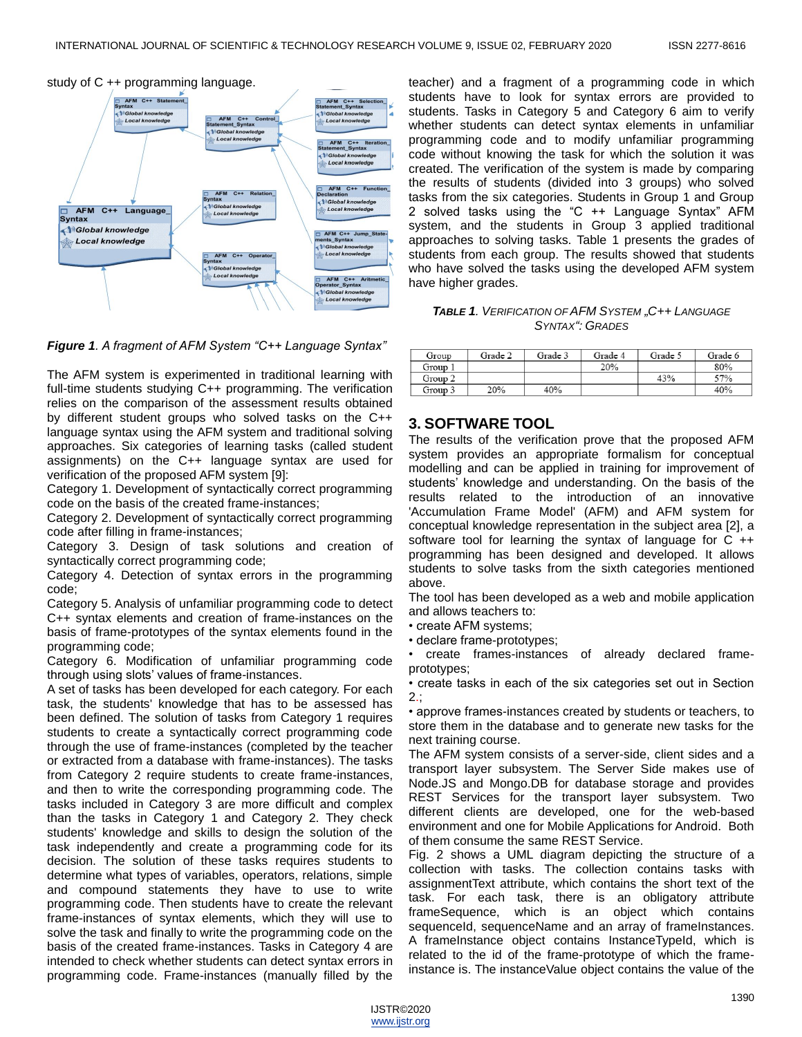

*Figure 1. A fragment of AFM System "C++ Language Syntax"*

The AFM system is experimented in traditional learning with full-time students studying C++ programming. The verification relies on the comparison of the assessment results obtained by different student groups who solved tasks on the C++ language syntax using the AFM system and traditional solving approaches. Six categories of learning tasks (called student assignments) on the C++ language syntax are used for verification of the proposed AFM system [9]:

Category 1. Development of syntactically correct programming code on the basis of the created frame-instances;

Category 2. Development of syntactically correct programming code after filling in frame-instances;

Category 3. Design of task solutions and creation of syntactically correct programming code;

Category 4. Detection of syntax errors in the programming code;

Category 5. Analysis of unfamiliar programming code to detect C++ syntax elements and creation of frame-instances on the basis of frame-prototypes of the syntax elements found in the programming code;

Category 6. Modification of unfamiliar programming code through using slots' values of frame-instances.

A set of tasks has been developed for each category. For each task, the students' knowledge that has to be assessed has been defined. The solution of tasks from Category 1 requires students to create a syntactically correct programming code through the use of frame-instances (completed by the teacher or extracted from a database with frame-instances). The tasks from Category 2 require students to create frame-instances, and then to write the corresponding programming code. The tasks included in Category 3 are more difficult and complex than the tasks in Category 1 and Category 2. They check students' knowledge and skills to design the solution of the task independently and create a programming code for its decision. The solution of these tasks requires students to determine what types of variables, operators, relations, simple and compound statements they have to use to write programming code. Then students have to create the relevant frame-instances of syntax elements, which they will use to solve the task and finally to write the programming code on the basis of the created frame-instances. Tasks in Category 4 are intended to check whether students can detect syntax errors in programming code. Frame-instances (manually filled by the

teacher) and a fragment of a programming code in which students have to look for syntax errors are provided to students. Tasks in Category 5 and Category 6 aim to verify whether students can detect syntax elements in unfamiliar programming code and to modify unfamiliar programming code without knowing the task for which the solution it was created. The verification of the system is made by comparing the results of students (divided into 3 groups) who solved tasks from the six categories. Students in Group 1 and Group 2 solved tasks using the "C ++ Language Syntax" AFM system, and the students in Group 3 applied traditional approaches to solving tasks. Table 1 presents the grades of students from each group. The results showed that students who have solved the tasks using the developed AFM system have higher grades.

*TABLE 1. VERIFICATION OF AFM SYSTEM "C++ LANGUAGE SYNTAX": GRADES*

| Group   | Grade 2 | Grade 3 | Grade 4 | Grade 5 | Grade 6 |
|---------|---------|---------|---------|---------|---------|
| Group 1 |         |         | 20%     |         | 80%     |
| Group 2 |         |         |         | 43%     | 57%     |
| Group 3 | 20%     | 40%     |         |         | 40%     |

#### **3. SOFTWARE TOOL**

The results of the verification prove that the proposed AFM system provides an appropriate formalism for conceptual modelling and can be applied in training for improvement of students' knowledge and understanding. On the basis of the results related to the introduction of an innovative 'Accumulation Frame Model' (AFM) and AFM system for conceptual knowledge representation in the subject area [2], a software tool for learning the syntax of language for C ++ programming has been designed and developed. It allows students to solve tasks from the sixth categories mentioned above.

The tool has been developed as a web and mobile application and allows teachers to:

• create AFM systems;

• declare frame-prototypes;

• create frames-instances of already declared frameprototypes;

• create tasks in each of the six categories set out in Section  $2.$ ;

• approve frames-instances created by students or teachers, to store them in the database and to generate new tasks for the next training course.

The AFM system consists of a server-side, client sides and a transport layer subsystem. The Server Side makes use of Node.JS and Mongo.DB for database storage and provides REST Services for the transport layer subsystem. Two different clients are developed, one for the web-based environment and one for Mobile Applications for Android. Both of them consume the same REST Service.

Fig. 2 shows a UML diagram depicting the structure of a collection with tasks. The collection contains tasks with assignmentText attribute, which contains the short text of the task. For each task, there is an obligatory attribute frameSequence, which is an object which contains sequenceId, sequenceName and an array of frameInstances. A frameInstance object contains InstanceTypeId, which is related to the id of the frame-prototype of which the frameinstance is. The instanceValue object contains the value of the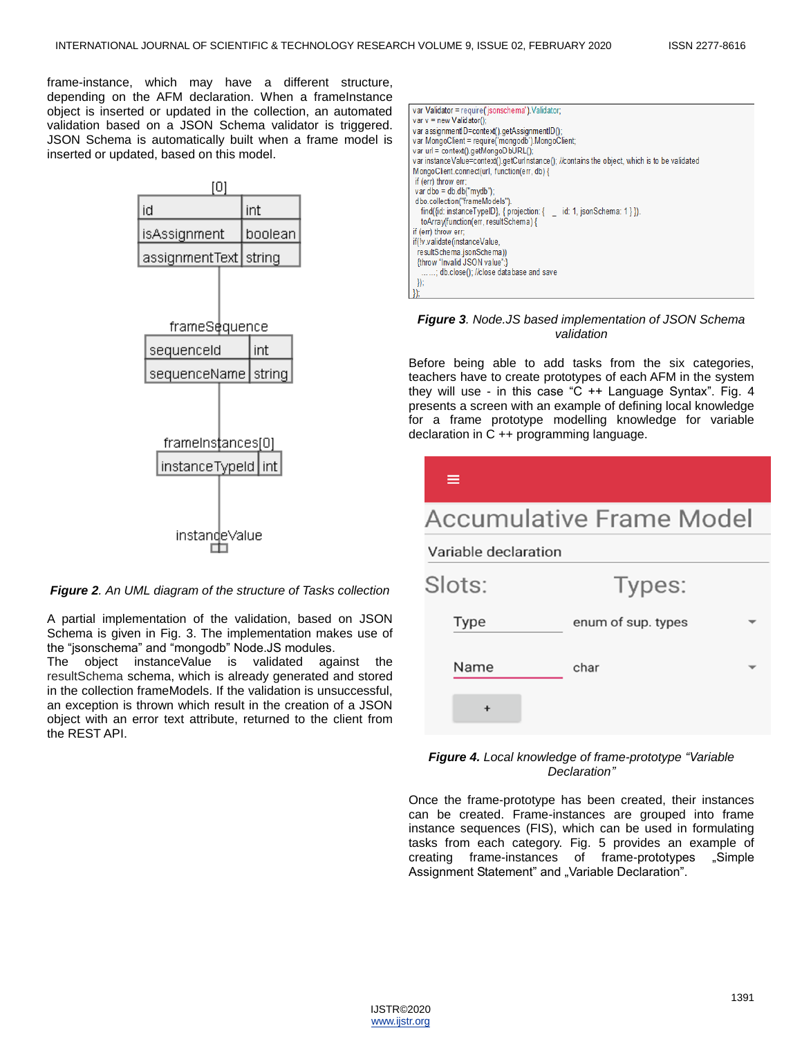frame-instance, which may have a different structure, depending on the AFM declaration. When a frameInstance object is inserted or updated in the collection, an automated validation based on a JSON Schema validator is triggered. JSON Schema is automatically built when a frame model is inserted or updated, based on this model.





A partial implementation of the validation, based on JSON Schema is given in Fig. 3. The implementation makes use of the "jsonschema" and "mongodb" Node.JS modules.

The object instanceValue is validated against the resultSchema schema, which is already generated and stored in the collection frameModels. If the validation is unsuccessful, an exception is thrown which result in the creation of a JSON object with an error text attribute, returned to the client from the REST API.

| var Validator = require('jsonschema'). Validator;                                              |
|------------------------------------------------------------------------------------------------|
| var $v = new$ Validator():                                                                     |
| var assignmentID=context().getAssignmentID();                                                  |
| var MongoClient = require('mongodb').MongoClient;                                              |
| var url = context().getMongoDbURL();                                                           |
| var instance Value=context().getCurInstance(); //contains the object, which is to be validated |
| MongoClient.connect(url. function(err. db) {                                                   |
| if (err) throw err;                                                                            |
| var dbo = db.db("mydb");                                                                       |
| dbo.collection("frameModels").                                                                 |
| find({id: instanceTypeID}, { projection: {id: 1, jsonSchema: 1 } }).                           |
| toArray(function(err, resultSchema) {                                                          |
| if (err) throw err;                                                                            |
| if(!v.validate(instanceValue,                                                                  |
| resultSchema.jsonSchema))                                                                      |
| {throw "Invalid JSON value";}                                                                  |
| ; db.close(); //close database and save                                                        |
| $\mathcal{Y}$                                                                                  |
| });                                                                                            |

#### *Figure 3. Node.JS based implementation of JSON Schema validation*

Before being able to add tasks from the six categories, teachers have to create prototypes of each AFM in the system they will use - in this case " $C$  ++ Language Syntax". Fig. 4 presents a screen with an example of defining local knowledge for a frame prototype modelling knowledge for variable declaration in C ++ programming language.

| ≡                        |                    |  |  |  |
|--------------------------|--------------------|--|--|--|
| Accumulative Frame Model |                    |  |  |  |
| Variable declaration     |                    |  |  |  |
| Slots:                   | Types:             |  |  |  |
| <b>Type</b>              | enum of sup. types |  |  |  |
| Name                     | char               |  |  |  |
|                          |                    |  |  |  |
|                          |                    |  |  |  |

#### *Figure 4. Local knowledge of frame-prototype "Variable Declaration"*

Once the frame-prototype has been created, their instances can be created. Frame-instances are grouped into frame instance sequences (FIS), which can be used in formulating tasks from each category. Fig. 5 provides an example of creating frame-instances of frame-prototypes "Simple Assignment Statement" and "Variable Declaration".

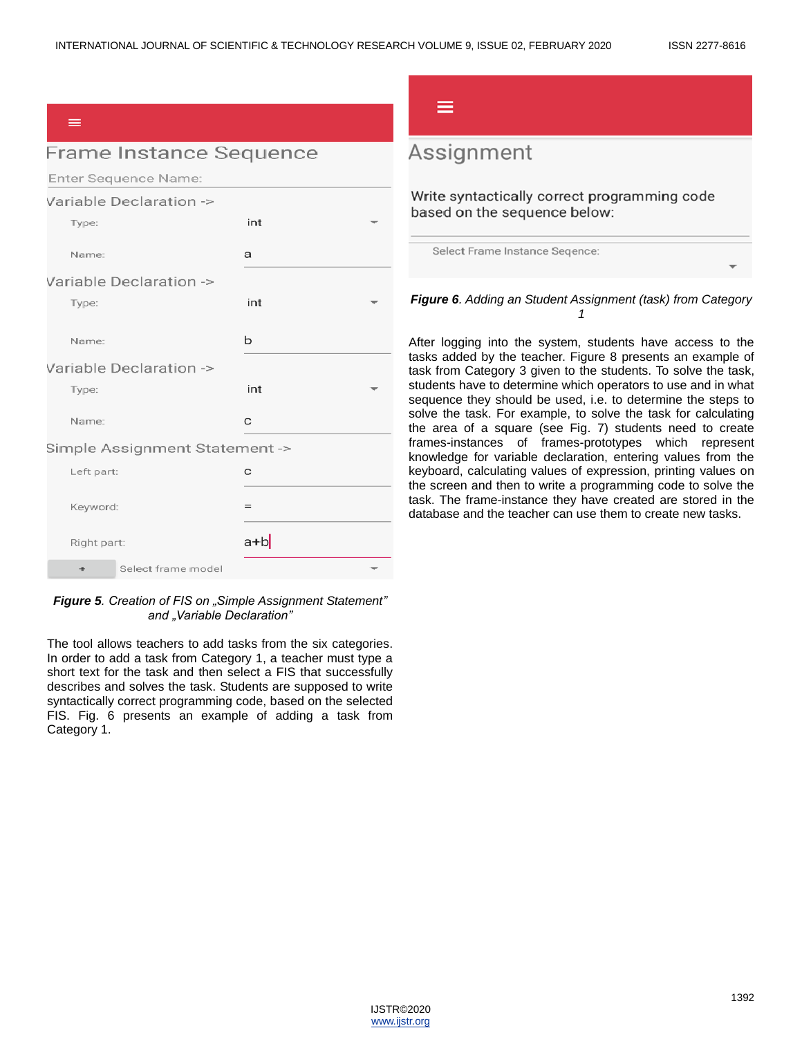#### $=$

# **Frame Instance Sequence**

Enter Sequence Name:  $\sim$ 

|             | Variable Declaration ->        |         |  |
|-------------|--------------------------------|---------|--|
| Type:       |                                | int     |  |
| Name:       |                                | a       |  |
|             | Variable Declaration ->        |         |  |
| Type:       |                                | int     |  |
| Name:       |                                | b       |  |
|             | Variable Declaration ->        |         |  |
| Type:       |                                | int     |  |
| Name:       |                                | C       |  |
|             | Simple Assignment Statement -> |         |  |
| Left part:  |                                | C       |  |
| Keyword:    |                                | $=$     |  |
| Right part: |                                | $a + b$ |  |
| $\div$      | Select frame model             |         |  |

#### *Figure 5. Creation of FIS on "Simple Assignment Statement" and "Variable Declaration"*

The tool allows teachers to add tasks from the six categories. In order to add a task from Category 1, a teacher must type a short text for the task and then select a FIS that successfully describes and solves the task. Students are supposed to write syntactically correct programming code, based on the selected FIS. Fig. 6 presents an example of adding a task from Category 1.

# Assignment

Write syntactically correct programming code based on the sequence below:

Select Frame Instance Seqence:

### *Figure 6. Adding an Student Assignment (task) from Category 1*

After logging into the system, students have access to the tasks added by the teacher. Figure 8 presents an example of task from Category 3 given to the students. To solve the task, students have to determine which operators to use and in what sequence they should be used, i.e. to determine the steps to solve the task. For example, to solve the task for calculating the area of a square (see Fig. 7) students need to create frames-instances of frames-prototypes which represent knowledge for variable declaration, entering values from the keyboard, calculating values of expression, printing values on the screen and then to write a programming code to solve the task. The frame-instance they have created are stored in the database and the teacher can use them to create new tasks.